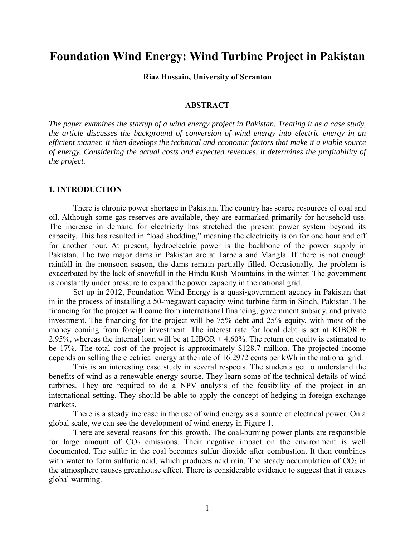# **Foundation Wind Energy: Wind Turbine Project in Pakistan**

**Riaz Hussain, University of Scranton** 

## **ABSTRACT**

*The paper examines the startup of a wind energy project in Pakistan. Treating it as a case study, the article discusses the background of conversion of wind energy into electric energy in an efficient manner. It then develops the technical and economic factors that make it a viable source of energy. Considering the actual costs and expected revenues, it determines the profitability of the project.* 

#### **1. INTRODUCTION**

There is chronic power shortage in Pakistan. The country has scarce resources of coal and oil. Although some gas reserves are available, they are earmarked primarily for household use. The increase in demand for electricity has stretched the present power system beyond its capacity. This has resulted in "load shedding," meaning the electricity is on for one hour and off for another hour. At present, hydroelectric power is the backbone of the power supply in Pakistan. The two major dams in Pakistan are at Tarbela and Mangla. If there is not enough rainfall in the monsoon season, the dams remain partially filled. Occasionally, the problem is exacerbated by the lack of snowfall in the Hindu Kush Mountains in the winter. The government is constantly under pressure to expand the power capacity in the national grid.

 Set up in 2012, Foundation Wind Energy is a quasi-government agency in Pakistan that in in the process of installing a 50-megawatt capacity wind turbine farm in Sindh, Pakistan. The financing for the project will come from international financing, government subsidy, and private investment. The financing for the project will be 75% debt and 25% equity, with most of the money coming from foreign investment. The interest rate for local debt is set at KIBOR + 2.95%, whereas the internal loan will be at LIBOR + 4.60%. The return on equity is estimated to be 17%. The total cost of the project is approximately \$128.7 million. The projected income depends on selling the electrical energy at the rate of 16.2972 cents per kWh in the national grid.

 This is an interesting case study in several respects. The students get to understand the benefits of wind as a renewable energy source. They learn some of the technical details of wind turbines. They are required to do a NPV analysis of the feasibility of the project in an international setting. They should be able to apply the concept of hedging in foreign exchange markets.

There is a steady increase in the use of wind energy as a source of electrical power. On a global scale, we can see the development of wind energy in Figure 1.

There are several reasons for this growth. The coal-burning power plants are responsible for large amount of  $CO<sub>2</sub>$  emissions. Their negative impact on the environment is well documented. The sulfur in the coal becomes sulfur dioxide after combustion. It then combines with water to form sulfuric acid, which produces acid rain. The steady accumulation of  $CO<sub>2</sub>$  in the atmosphere causes greenhouse effect. There is considerable evidence to suggest that it causes global warming.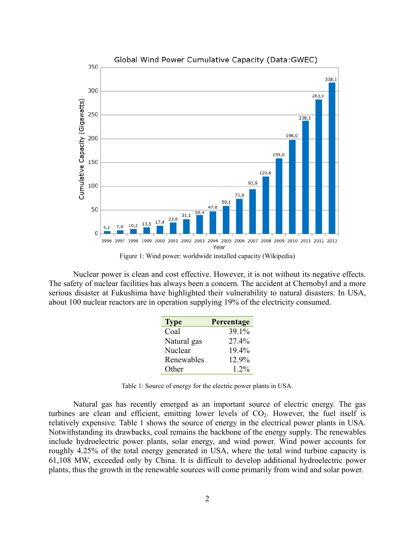

Figure 1: Wind power: worldwide installed capacity (Wikipedia)

Nuclear power is clean and cost effective. However, it is not without its negative effects. The safety of nuclear facilities has always been a concern. The accident at Chernobyl and a more serious disaster at Fukushima have highlighted their vulnerability to natural disasters. In USA, about 100 nuclear reactors are in operation supplying 19% of the electricity consumed.

| <b>Type</b> | Percentage |
|-------------|------------|
| Coal        | 39.1%      |
| Natural gas | 27.4%      |
| Nuclear     | 19.4%      |
| Renewables  | 12.9%      |
| Other       | $12\%$     |

Table 1: Source of energy for the electric power plants in USA.

Natural gas has recently emerged as an important source of electric energy. The gas turbines are clean and efficient, emitting lower levels of  $CO<sub>2</sub>$ . However, the fuel itself is relatively expensive. Table 1 shows the source of energy in the electrical power plants in USA. Notwithstanding its drawbacks, coal remains the backbone of the energy supply. The renewables include hydroelectric power plants, solar energy, and wind power. Wind power accounts for roughly 4.25% of the total energy generated in USA, where the total wind turbine capacity is 61,108 MW, exceeded only by China. It is difficult to develop additional hydroelectric power plants, thus the growth in the renewable sources will come primarily from wind and solar power.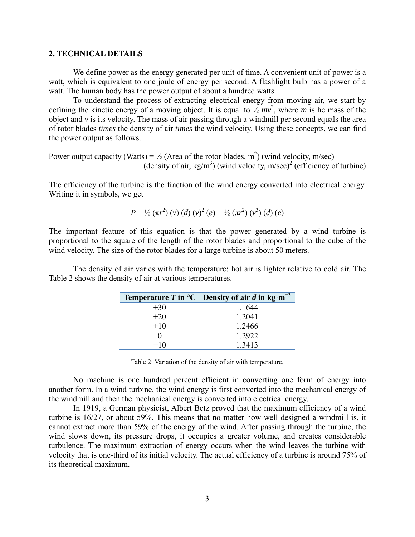## **2. TECHNICAL DETAILS**

We define power as the energy generated per unit of time. A convenient unit of power is a watt, which is equivalent to one joule of energy per second. A flashlight bulb has a power of a watt. The human body has the power output of about a hundred watts.

To understand the process of extracting electrical energy from moving air, we start by defining the kinetic energy of a moving object. It is equal to  $\frac{1}{2}mv^2$ , where *m* is he mass of the object and  $\nu$  is its velocity. The mass of air passing through a windmill per second equals the area of rotor blades *times* the density of air *times* the wind velocity. Using these concepts, we can find the power output as follows.

Power output capacity (Watts) =  $\frac{1}{2}$  (Area of the rotor blades, m<sup>2</sup>) (wind velocity, m/sec) (density of air,  $kg/m<sup>3</sup>$ ) (wind velocity, m/sec)<sup>2</sup> (efficiency of turbine)

The efficiency of the turbine is the fraction of the wind energy converted into electrical energy. Writing it in symbols, we get

$$
P = \frac{1}{2} (\pi r^2) (v) (d) (v)^2 (e) = \frac{1}{2} (\pi r^2) (v^3) (d) (e)
$$

The important feature of this equation is that the power generated by a wind turbine is proportional to the square of the length of the rotor blades and proportional to the cube of the wind velocity. The size of the rotor blades for a large turbine is about 50 meters.

The density of air varies with the temperature: hot air is lighter relative to cold air. The Table 2 shows the density of air at various temperatures.

|                   | <b>Temperature T in °C</b> Density of air d in $kg \cdot m^{-3}$ |
|-------------------|------------------------------------------------------------------|
| $+30$             | 1 1644                                                           |
| $+20$             | 1.2041                                                           |
| $+10$             | 1.2466                                                           |
| $\mathbf{\Omega}$ | 1.2922                                                           |
| $-10$             | 1.3413                                                           |

Table 2: Variation of the density of air with temperature.

No machine is one hundred percent efficient in converting one form of energy into another form. In a wind turbine, the wind energy is first converted into the mechanical energy of the windmill and then the mechanical energy is converted into electrical energy.

In 1919, a German physicist, Albert Betz proved that the maximum efficiency of a wind turbine is 16/27, or about 59%. This means that no matter how well designed a windmill is, it cannot extract more than 59% of the energy of the wind. After passing through the turbine, the wind slows down, its pressure drops, it occupies a greater volume, and creates considerable turbulence. The maximum extraction of energy occurs when the wind leaves the turbine with velocity that is one-third of its initial velocity. The actual efficiency of a turbine is around 75% of its theoretical maximum.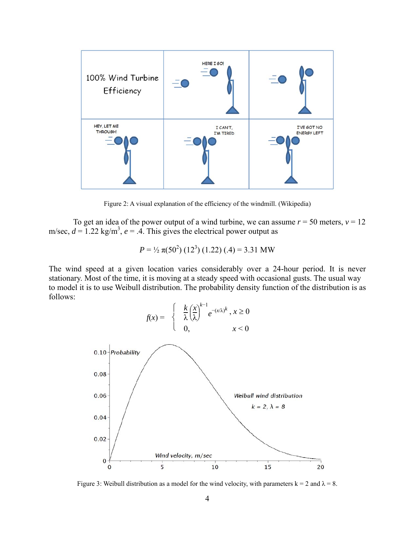

Figure 2: A visual explanation of the efficiency of the windmill. (Wikipedia)

To get an idea of the power output of a wind turbine, we can assume  $r = 50$  meters,  $v = 12$ m/sec,  $d = 1.22$  kg/m<sup>3</sup>,  $e = .4$ . This gives the electrical power output as

$$
P = \frac{1}{2} \pi (50^2) (12^3) (1.22) (.4) = 3.31 \text{ MW}
$$

The wind speed at a given location varies considerably over a 24-hour period. It is never stationary. Most of the time, it is moving at a steady speed with occasional gusts. The usual way to model it is to use Weibull distribution. The probability density function of the distribution is as follows:



Figure 3: Weibull distribution as a model for the wind velocity, with parameters  $k = 2$  and  $\lambda = 8$ .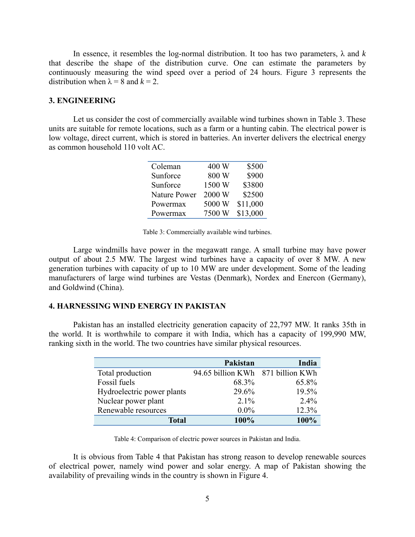In essence, it resembles the log-normal distribution. It too has two parameters,  $\lambda$  and  $k$ that describe the shape of the distribution curve. One can estimate the parameters by continuously measuring the wind speed over a period of 24 hours. Figure 3 represents the distribution when  $\lambda = 8$  and  $k = 2$ .

## **3. ENGINEERING**

Let us consider the cost of commercially available wind turbines shown in Table 3. These units are suitable for remote locations, such as a farm or a hunting cabin. The electrical power is low voltage, direct current, which is stored in batteries. An inverter delivers the electrical energy as common household 110 volt AC.

| Coleman             | 400 W  | \$500    |
|---------------------|--------|----------|
| Sunforce            | 800 W  | \$900    |
| Sunforce            | 1500 W | \$3800   |
| <b>Nature Power</b> | 2000 W | \$2500   |
| Powermax            | 5000 W | \$11,000 |
| Powermax            | 7500 W | \$13,000 |

Large windmills have power in the megawatt range. A small turbine may have power output of about 2.5 MW. The largest wind turbines have a capacity of over 8 MW. A new generation turbines with capacity of up to 10 MW are under development. Some of the leading manufacturers of large wind turbines are Vestas (Denmark), Nordex and Enercon (Germany), and Goldwind (China).

## **4. HARNESSING WIND ENERGY IN PAKISTAN**

Pakistan has an installed electricity generation capacity of 22,797 MW. It ranks 35th in the world. It is worthwhile to compare it with India, which has a capacity of 199,990 MW, ranking sixth in the world. The two countries have similar physical resources.

|                            | Pakistan                          | India   |
|----------------------------|-----------------------------------|---------|
| Total production           | 94.65 billion KWh 871 billion KWh |         |
| Fossil fuels               | 68.3%                             | 65.8%   |
| Hydroelectric power plants | 29.6%                             | 19.5%   |
| Nuclear power plant        | $2.1\%$                           | $2.4\%$ |
| Renewable resources        | $0.0\%$                           | 12.3%   |
| <b>Total</b>               | 100%                              | 100%    |

Table 4: Comparison of electric power sources in Pakistan and India.

It is obvious from Table 4 that Pakistan has strong reason to develop renewable sources of electrical power, namely wind power and solar energy. A map of Pakistan showing the availability of prevailing winds in the country is shown in Figure 4.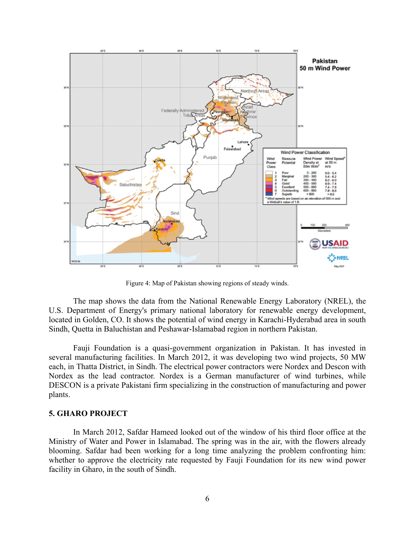

Figure 4: Map of Pakistan showing regions of steady winds.

The map shows the data from the National Renewable Energy Laboratory (NREL), the U.S. Department of Energy's primary national laboratory for renewable energy development, located in Golden, CO. It shows the potential of wind energy in Karachi-Hyderabad area in south Sindh, Quetta in Baluchistan and Peshawar-Islamabad region in northern Pakistan.

Fauji Foundation is a quasi-government organization in Pakistan. It has invested in several manufacturing facilities. In March 2012, it was developing two wind projects, 50 MW each, in Thatta District, in Sindh. The electrical power contractors were Nordex and Descon with Nordex as the lead contractor. Nordex is a German manufacturer of wind turbines, while DESCON is a private Pakistani firm specializing in the construction of manufacturing and power plants.

## **5. GHARO PROJECT**

In March 2012, Safdar Hameed looked out of the window of his third floor office at the Ministry of Water and Power in Islamabad. The spring was in the air, with the flowers already blooming. Safdar had been working for a long time analyzing the problem confronting him: whether to approve the electricity rate requested by Fauji Foundation for its new wind power facility in Gharo, in the south of Sindh.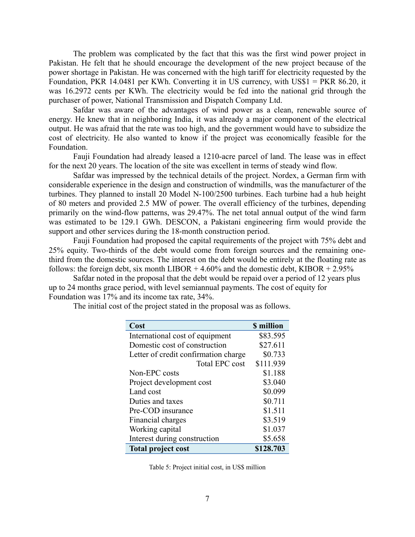The problem was complicated by the fact that this was the first wind power project in Pakistan. He felt that he should encourage the development of the new project because of the power shortage in Pakistan. He was concerned with the high tariff for electricity requested by the Foundation, PKR 14.0481 per KWh. Converting it in US currency, with US\$1 = PKR 86.20, it was 16.2972 cents per KWh. The electricity would be fed into the national grid through the purchaser of power, National Transmission and Dispatch Company Ltd.

 Safdar was aware of the advantages of wind power as a clean, renewable source of energy. He knew that in neighboring India, it was already a major component of the electrical output. He was afraid that the rate was too high, and the government would have to subsidize the cost of electricity. He also wanted to know if the project was economically feasible for the Foundation.

 Fauji Foundation had already leased a 1210-acre parcel of land. The lease was in effect for the next 20 years. The location of the site was excellent in terms of steady wind flow.

 Safdar was impressed by the technical details of the project. Nordex, a German firm with considerable experience in the design and construction of windmills, was the manufacturer of the turbines. They planned to install 20 Model N-100/2500 turbines. Each turbine had a hub height of 80 meters and provided 2.5 MW of power. The overall efficiency of the turbines, depending primarily on the wind-flow patterns, was 29.47%. The net total annual output of the wind farm was estimated to be 129.1 GWh. DESCON, a Pakistani engineering firm would provide the support and other services during the 18-month construction period.

Fauji Foundation had proposed the capital requirements of the project with 75% debt and 25% equity. Two-thirds of the debt would come from foreign sources and the remaining onethird from the domestic sources. The interest on the debt would be entirely at the floating rate as follows: the foreign debt, six month LIBOR  $+4.60\%$  and the domestic debt, KIBOR  $+2.95\%$ 

 Safdar noted in the proposal that the debt would be repaid over a period of 12 years plus up to 24 months grace period, with level semiannual payments. The cost of equity for Foundation was 17% and its income tax rate, 34%.

The initial cost of the project stated in the proposal was as follows.

| Cost                                 | <b>\$</b> million |
|--------------------------------------|-------------------|
| International cost of equipment      | \$83.595          |
| Domestic cost of construction        | \$27.611          |
| Letter of credit confirmation charge | \$0.733           |
| <b>Total EPC cost</b>                | \$111.939         |
| Non-EPC costs                        | \$1.188           |
| Project development cost             | \$3.040           |
| Land cost                            | \$0.099           |
| Duties and taxes                     | \$0.711           |
| Pre-COD insurance                    | \$1.511           |
| Financial charges                    | \$3.519           |
| Working capital                      | \$1.037           |
| Interest during construction         | \$5.658           |
| <b>Total project cost</b>            | \$128.703         |

Table 5: Project initial cost, in US\$ million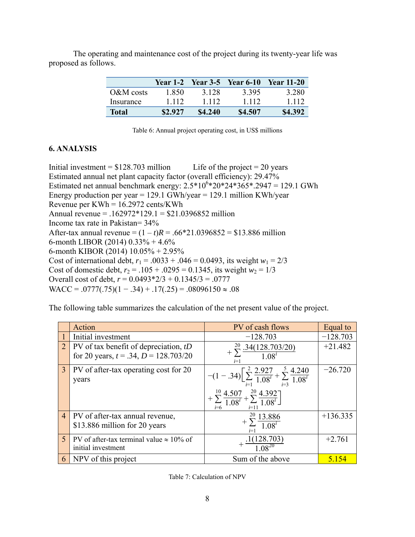The operating and maintenance cost of the project during its twenty-year life was proposed as follows.

|              | <b>Year 1-2</b> |         | <b>Year 3-5</b> Year 6-10 | <b>Year 11-20</b> |
|--------------|-----------------|---------|---------------------------|-------------------|
| $O\&M$ costs | 1.850           | 3 1 2 8 | 3.395                     | 3 2 8 0           |
| Insurance    | 1 1 1 2         | 1 1 1 2 | 1 1 1 2                   | 1 1 1 2           |
| <b>Total</b> | \$2.927         | \$4,240 | \$4.507                   | \$4.392           |

Table 6: Annual project operating cost, in US\$ millions

## **6. ANALYSIS**

Initial investment =  $$128.703$  million Life of the project = 20 years Estimated annual net plant capacity factor (overall efficiency): 29.47% Estimated net annual benchmark energy:  $2.5*10^{6}*20*24*365*.2947 = 129.1$  GWh Energy production per year =  $129.1$  GWh/year =  $129.1$  million KWh/year Revenue per KWh = 16.2972 cents/KWh Annual revenue = .162972\*129.1 = \$21.0396852 million Income tax rate in Pakistan= 34% After-tax annual revenue =  $(1 - t)R = .66*21.0396852 = $13.886$  million 6-month LIBOR (2014) 0.33% + 4.6% 6-month KIBOR (2014) 10.05% + 2.95% Cost of international debt,  $r_1 = .0033 + .046 = 0.0493$ , its weight  $w_1 = 2/3$ Cost of domestic debt,  $r_2 = .105 + .0295 = 0.1345$ , its weight  $w_2 = 1/3$ Overall cost of debt, *r* = 0.0493\*2/3 + 0.1345/3 = .0777 WACC = .0777(.75)(1 − .34) + .17(.25) = .08096150  $\approx$  .08

The following table summarizes the calculation of the net present value of the project.

|                | Action                                                                                | PV of cash flows                                                                                                                                                                    | Equal to   |
|----------------|---------------------------------------------------------------------------------------|-------------------------------------------------------------------------------------------------------------------------------------------------------------------------------------|------------|
|                | Initial investment                                                                    | $-128.703$                                                                                                                                                                          | $-128.703$ |
| $\overline{2}$ | PV of tax benefit of depreciation, $tD$<br>for 20 years, $t = .34$ , $D = 128.703/20$ | $\sum_{1}^{20} \frac{.34(128.703/20)}{.}$<br>$1.08^i$<br>$i=1$                                                                                                                      | $+21.482$  |
| $\overline{3}$ | PV of after-tax operating cost for 20<br>years                                        | $-(1-.34)\left[\sum_{i=1}^{2}\frac{2.927}{1.08^{i}}+\sum_{i=3}^{5}\frac{4.240}{1.08^{i}}\right]$<br>$+\sum_{i=6}^{10} \frac{4.507}{1.08^i} + \sum_{i=11}^{20} \frac{4.392}{1.08^i}$ | $-26.720$  |
| $\overline{4}$ | PV of after-tax annual revenue,<br>\$13.886 million for 20 years                      | $+\sum_{1}^{20} \frac{13.886}{1.08^{i}}$<br>$i=1$                                                                                                                                   | $+136.335$ |
| $\sqrt{5}$     | PV of after-tax terminal value $\approx 10\%$ of<br>initial investment                | (128.703)                                                                                                                                                                           | $+2.761$   |
| 6              | NPV of this project                                                                   | Sum of the above                                                                                                                                                                    | 5.154      |

Table 7: Calculation of NPV